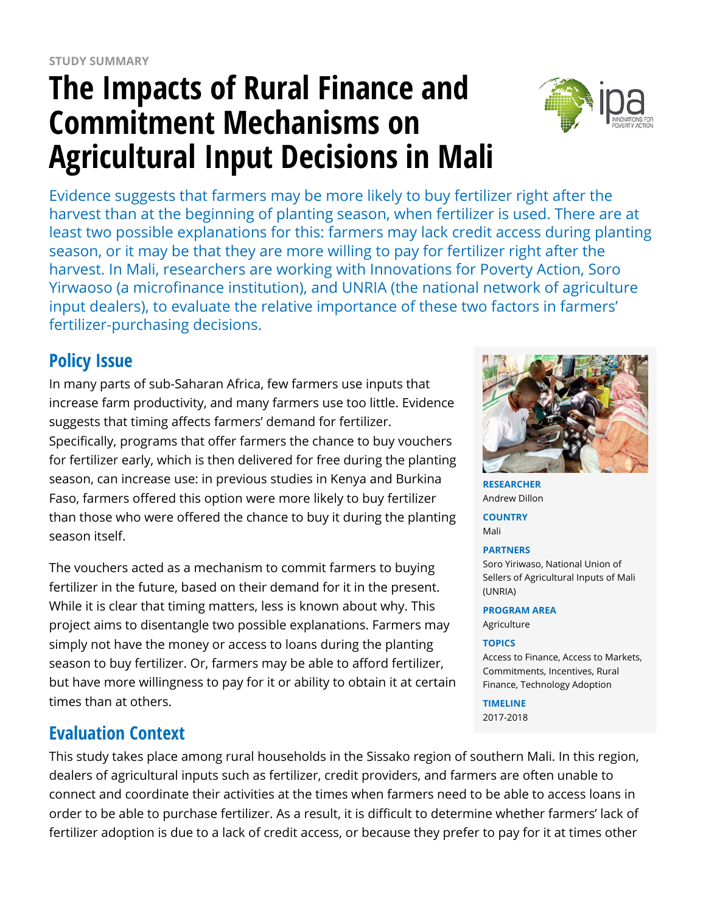# **The Impacts of Rural Finance and Commitment Mechanisms on Agricultural Input Decisions in Mali**



Evidence suggests that farmers may be more likely to buy fertilizer right after the harvest than at the beginning of planting season, when fertilizer is used. There are at least two possible explanations for this: farmers may lack credit access during planting season, or it may be that they are more willing to pay for fertilizer right after the harvest. In Mali, researchers are working with Innovations for Poverty Action, Soro Yirwaoso (a microfinance institution), and UNRIA (the national network of agriculture input dealers), to evaluate the relative importance of these two factors in farmers' fertilizer-purchasing decisions.

## **Policy Issue**

In many parts of sub-Saharan Africa, few farmers use inputs that increase farm productivity, and many farmers use too little. Evidence suggests that timing affects farmers' demand for fertilizer. Specifically, programs that offer farmers the chance to buy vouchers for fertilizer early, which is then delivered for free during the planting season, can increase use: in previous studies in Kenya and Burkina Faso, farmers offered this option were more likely to buy fertilizer than those who were offered the chance to buy it during the planting season itself.

The vouchers acted as a mechanism to commit farmers to buying fertilizer in the future, based on their demand for it in the present. While it is clear that timing matters, less is known about why. This project aims to disentangle two possible explanations. Farmers may simply not have the money or access to loans during the planting season to buy fertilizer. Or, farmers may be able to afford fertilizer, but have more willingness to pay for it or ability to obtain it at certain times than at others.

## **Evaluation Context**

This study takes place among rural households in the Sissako region of southern Mali. In this region, dealers of agricultural inputs such as fertilizer, credit providers, and farmers are often unable to connect and coordinate their activities at the times when farmers need to be able to access loans in order to be able to purchase fertilizer. As a result, it is difficult to determine whether farmers' lack of fertilizer adoption is due to a lack of credit access, or because they prefer to pay for it at times other



**RESEARCHER** Andrew Dillon **COUNTRY** Mali **PARTNERS**

Soro Yiriwaso, National Union of Sellers of Agricultural Inputs of Mali (UNRIA)

**PROGRAM AREA** Agriculture

#### **TOPICS**

Access to Finance, Access to Markets, Commitments, Incentives, Rural Finance, Technology Adoption

**TIMELINE** 2017-2018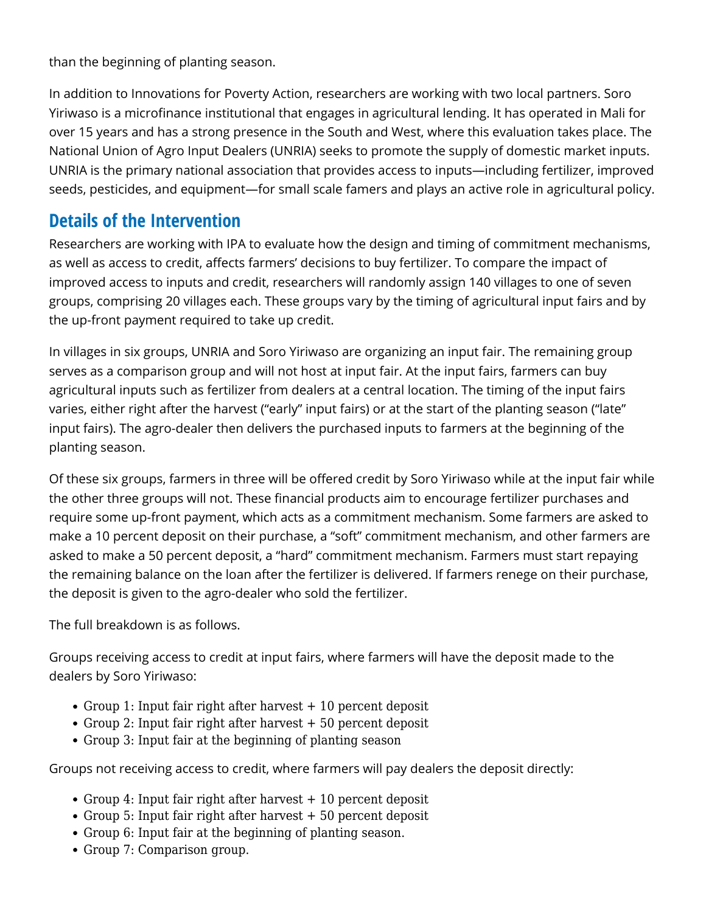than the beginning of planting season.

In addition to Innovations for Poverty Action, researchers are working with two local partners. Soro Yiriwaso is a microfinance institutional that engages in agricultural lending. It has operated in Mali for over 15 years and has a strong presence in the South and West, where this evaluation takes place. The National Union of Agro Input Dealers (UNRIA) seeks to promote the supply of domestic market inputs. UNRIA is the primary national association that provides access to inputs—including fertilizer, improved seeds, pesticides, and equipment—for small scale famers and plays an active role in agricultural policy.

### **Details of the Intervention**

Researchers are working with IPA to evaluate how the design and timing of commitment mechanisms, as well as access to credit, affects farmers' decisions to buy fertilizer. To compare the impact of improved access to inputs and credit, researchers will randomly assign 140 villages to one of seven groups, comprising 20 villages each. These groups vary by the timing of agricultural input fairs and by the up-front payment required to take up credit.

In villages in six groups, UNRIA and Soro Yiriwaso are organizing an input fair. The remaining group serves as a comparison group and will not host at input fair. At the input fairs, farmers can buy agricultural inputs such as fertilizer from dealers at a central location. The timing of the input fairs varies, either right after the harvest ("early" input fairs) or at the start of the planting season ("late" input fairs). The agro-dealer then delivers the purchased inputs to farmers at the beginning of the planting season.

Of these six groups, farmers in three will be offered credit by Soro Yiriwaso while at the input fair while the other three groups will not. These financial products aim to encourage fertilizer purchases and require some up-front payment, which acts as a commitment mechanism. Some farmers are asked to make a 10 percent deposit on their purchase, a "soft" commitment mechanism, and other farmers are asked to make a 50 percent deposit, a "hard" commitment mechanism. Farmers must start repaying the remaining balance on the loan after the fertilizer is delivered. If farmers renege on their purchase, the deposit is given to the agro-dealer who sold the fertilizer.

The full breakdown is as follows.

Groups receiving access to credit at input fairs, where farmers will have the deposit made to the dealers by Soro Yiriwaso:

- Group 1: Input fair right after harvest + 10 percent deposit
- $\bullet$  Group 2: Input fair right after harvest  $+50$  percent deposit
- Group 3: Input fair at the beginning of planting season

Groups not receiving access to credit, where farmers will pay dealers the deposit directly:

- $\bullet$  Group 4: Input fair right after harvest  $+10$  percent deposit
- Group 5: Input fair right after harvest + 50 percent deposit
- Group 6: Input fair at the beginning of planting season.
- Group 7: Comparison group.